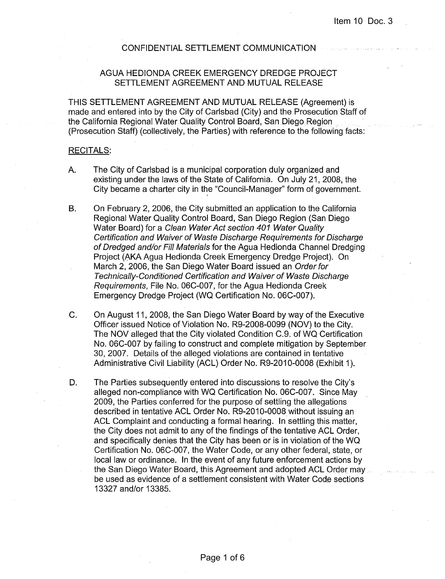#### CONFIDENTIAL SETTLEMENT COMMUNICATION

## AGUA HEDIONDA CREEK EMERGENCY DREDGE PROJECT SETTLEMENT AGREEMENT AND MUTUAL RELEASE

THIS SETTLEMENT AGREEMENT AND MUTUAL RELEASE (Agreement) is made and entered into by the City of Carlsbad (City) and the Prosecution Staff of the California Regional Water Quality Control Board, San Diego Region (Prosecution Staff) (collectively, the Parties) with reference to the following facts:

#### RECITALS:

- A. The City of Carlsbad is a municipal corporation duly organized and existing under the laws of the State of California. On July 21, 2008, the City became a charter city in the "Council-Manager" form of government.
- B. On February 2, 2006, the City submitted an application to the California Regional Water Quality Control Board, San Diego Region (San Diego Water Board) for a Clean Water Act section 401 Water Quality Certification and Waiver of Waste Discharge Requirements for Discharge of Dredged and/or Fill Materials for the Agua Hedionda Channel Dredging Project (AKA Agua Hedionda Creek Emergency Dredge Project). On March 2, 2006, the San Diego Water Board issued an Order for Technically-Conditioned Certification and Waiver of Waste Discharge Requirements, File No. 06C-007, for the Agua Hedionda Creek Emergency Dredge Project (WQ Certification No. 06C-007).
- C. On August 11, 2008, the San Diego Water Board by way of the Executive Officer issued Notice of Violation No. R9-2008-0099 (NOV) to the City. The NOV alleged that the City violated Condition C.9. of WQ Certification No. 06C-007 by failing to construct and complete mitigation by September 30, 2007. Details of the alleged violations are contained in tentative Administrative Civil Liability (ACL) Order No. R9-2010-0008 (Exhibit 1).
- D. The Parties subsequently entered into discussions to resolve the City's alleged non-compliance with WQ Certification No. 06C-007. Since May 2009, the Parties conferred for the purpose of settling the allegations described in tentative ACL Order No. R9-2010-0008 without issuing an ACL Complaint and conducting a formal hearing. In settling this matter, the City does not admit to any of the findings of the tentative ACL Order, and specifically denies that the City has been or is in violation of the WQ Certification No. 06C-007, the Water Code, or any other federal, state, or local law or ordinance. In the event of any future enforcement actions by the San Diego Water Board, this Agreement and adopted ACL Order may be used as evidence of a settlement consistent with Water Code sections 13327 and/or 13385.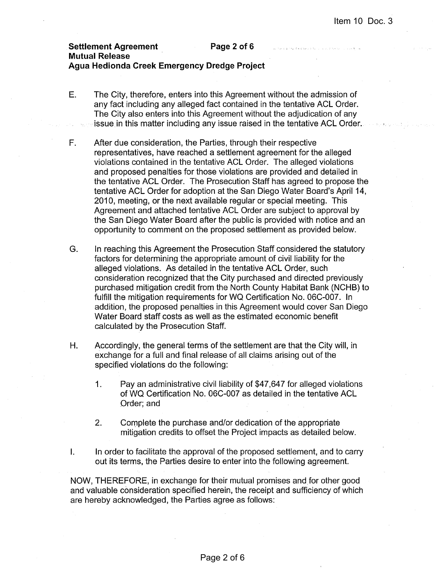# **Settlement Agreement Page 2 of 6 Mutual Release Agua Hedionda Creek Emergency Dredge Project**

- E. The City, therefore, enters into this Agreement without the admission of any fact including any alleged fact contained in the tentative ACL Order. The City also enters into this Agreement without the adjudication of any issue in this matter including any issue raised in the tentative ACL Order.
- F. After due consideration, the Parties, through their respective representatives, have reached a settlement agreement for the alleged violations contained in the tentative ACL Order. The alleged violations and proposed penalties for those violations are provided and detailed in the tentative ACL Order. The Prosecution Staff has agreed to propose the tentative ACL Order for adoption at the San Diego Water Board's April 14, 2010, meeting, or the next available regular or special meeting. This Agreement and attached tentative ACL Order are subject to approval by the San Diego Water Board after the public is provided with notice and an opportunity to comment on the proposed settlement as provided below.
- G. In reaching this Agreement the Prosecution Staff considered the statutory factors for determining the appropriate amount of civil liability for the alleged violations. As detailed in the tentative ACL Order, such consideration recognized that the City purchased and directed previously purchased mitigation credit from the North County Habitat Bank (NCHB) to fulfill the mitigation requirements for WQ Certification No. 06C-007. In addition, the proposed penalties in this Agreement would cover San Diego Water Board staff costs as well as the estimated economic benefit calculated by the Prosecution Staff.
- H. Accordingly, the general ferms of the settlement are that the City will, in exchange for a full and final release of all claims arising out of the specified violations do the following:
	- 1. Pay an administrative civil liability of \$47,647 for alleged violations of WQ Certification No. 06C-007 as detailed in the tentative ACL Order; and
	- 2. Complete the purchase and/or dedication of the appropriate mitigation credits to offset the Project impacts as detailed below.
- I. In order to facilitate the approval of the proposed settlement, and to carry out its terms, the Parties desire to enter into the following agreement.

NOW, THEREFORE, in exchange for their mutual promises and for other good and valuable consideration specified herein, the receipt and sufficiency of which are hereby acknowledged, the Parties agree as follows: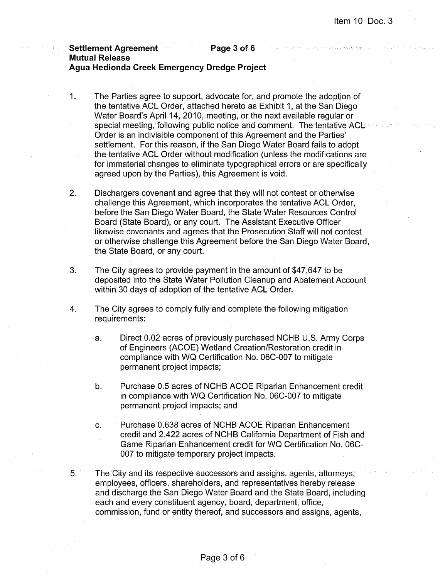### **Settlement Agreement Communication Page 3 of 6 Mutual Release Agua Hedionda Creek Emergency Dredge Project**

- 1. The Parties agree to support, advocate for, and promote the adoption of the tentative ACL Order, attached hereto as Exhibit 1, at the San Diego Water Board's April 14, 2010, meeting, or the next available regular or special meeting, following public notice and comment. The tentative ACL Order is an indivisible component of this Agreement and the Parties' settlement. For this reason, if the San Diego Water Board fails to adopt the tentative ACL Order without modification (unless the modifications are for immaterial changes to eliminate typographical errors or are specifically agreed upon by the Parties), this Agreement is void.
- 2. Dischargers covenant and agree that they will not contest or otherwise challenge this Agreement, which incorporates the tentative ACL Order, before the San Diego Water Board, the State Water Resources Control Board (State Board), or any court. The Assistant Executive Officer likewise covenants and agrees that the Prosecution Staff will not contest or otherwise challenge this Agreement before the San Diego Water Board, the State Board, or any court.
- 3. The City agrees to provide payment in the amount of \$47,647 to be deposited into the State Water Pollution Cleanup and Abatement Account within 30 days of adoption of the tentative ACL Order.
- 4. The City agrees to comply fully and complete the following mitigation requirements:
	- a. Direct 0.02 acres of previously purchased NCHB U.S. Army Corps of Engineers (ACOE) Wetland Creation/Restoration credit in compliance with WQ Certification No. 06C-007 to mitigate permanent project impacts;
	- b. Purchase 0.5 acres of NCHB ACOE Riparian Enhancement credit in compliance with WQ Certification No. 06C-007 to mitigate permanent project impacts; and
	- c. Purchase 0.638 acres of NCHB ACOE Riparian Enhancement credit and 2.422 acres of NCHB California Department of Fish and Game Riparian Enhancement credit for WQ Certification No. 06C-007 to mitigate temporary project impacts.
- 5. The City and its respective successors and assigns, agents, attorneys, employees, officers, shareholders, and representatives hereby release and discharge the San Diego Water Board and the State Board, including each and every constituent agency, board, department, office, commission; fund or entity thereof, and successors and assigns, agents,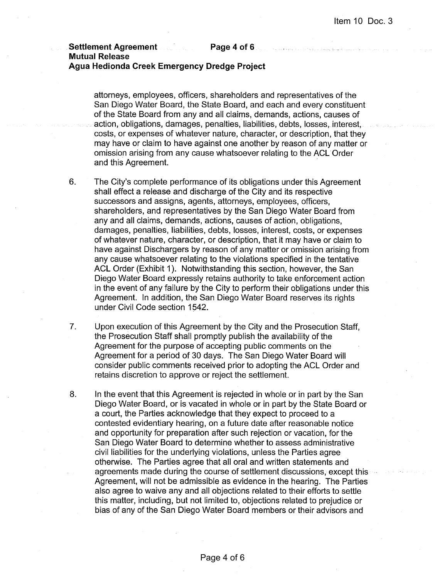#### **Settlement Agreement Page 4 of 6**

**Mutual Release** 

# **Agua Hedionda Creek Emergency Dredge Project**

attorneys, employees, officers, shareholders and representatives of the San Diego Water Board, the State Board, and each and every constituent of the State Board from any and all claims, demands, actions, causes of action, obligations, damages, penalties, liabilities, debts, losses, interest, costs, or expenses of whatever nature, character, or description, that they may have or claim to have against one another by reason of any matter or omission arising from any cause whatsoever relating to the ACL·Order and this Agreement.

6. The City's complete performance of its obligations under this Agreement shall effect a release and discharge of the City and its respective successors and assigns, agents, attorneys, employees, officers, shareholders, and representatives by the San Diego Water Board from any and all claims, demands, actions, causes of action, obligations, damages, penalties, liabilities, debts, losses, interest, costs, or expenses of whatever nature, character, or description, that it may have or claim to have against Dischargers by reason of any matter or omission arising from any cause whatsoever relating to the violations specified in the tentative ACL Order (Exhibit 1). Notwithstanding this section, however, the San Diego Water Board expressly retains authority to take enforcement action in the event of any failure by the City to perform their obligations under this Agreement. In addition, the San Diego Water Board reserves its rights under Civil Code section 1542.

7. Upon execution of this Agreement by the City and the Prosecution Staff, the Prosecution Staff shall promptly publish the availability of the Agreement for the purpose of accepting public comments on the Agreement for a period of 30 days. The San Diego Water Board will consider public comments received prior to adopting the ACL Order and retains discretion to approve or reject the settlement.

8. In the event that this Agreement is rejected in whole or in part by the San Diego Water Board, or is vacated in whole or in part by the State Board or a court, the Parties acknowledge that they expect to proceed to a contested evidentiary hearing, on a future date after reasonable notice and opportunity for preparation after such rejection or vacation, for the San Diego Water Board to determine whether to assess administrative civil liabilities for the underlying violations, unless the Parties agree otherwise. The Parties agree that all oral and written statements and agreements made during the course of settlement discussions, except this Agreement, will not be admissible as evidence in the hearing. The Parties also agree to waive any and all objections related to their efforts to settle this matter, including, but not limited to, objections related to prejudice or bias of any of the San Diego Water Board members or their advisors and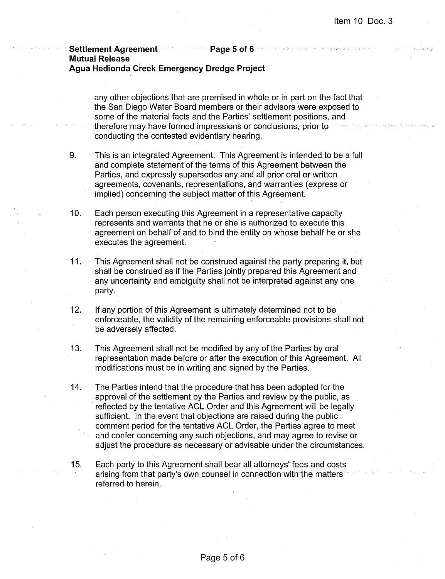## Settlement Agreement **Page 5 of 6 and 1999** Mutual Release Agua Hedionda Creek Emergency Dredge Project

any other objections that are premised in whole or in part on the fact that the San Diego Water Board members or their advisors were exposed to some of the material facts and the Parties' settlement positions, and therefore may have formed impressions or conclusions, prior to conducting the contested evidentiary hearing.

- 9. This is an integrated Agreement. This Agreement is intended to be a full and complete statement of the terms of this Agreement between the Parties, and expressly supersedes any and all prior oral or written agreements, covenants, representations, and warranties (express or implied) concerning the subject matter of this Agreement.
- 10. Each person executing this Agreement in a representative capacity represents and warrants that he or she is authorized to execute this agreement on behalf of and to bind the entity on whose behalf he or she executes the agreement.
- 11. This Agreement shall not be construed against the party preparing it, but shall be construed as if the Parties jointly prepared this Agreement and any uncertainty and ambiguity shall not be interpreted against anyone party.
- 12. If any portion of this Agreement is ultimately determined not to be enforceable, the validity of the remaining enforceable provisions shall not be adversely affected.
- 13. This Agreement shall not be modified by any of the Parties by oral representation made before or after the execution of this Agreement. All modifications must be in writing and signed by the Parties.
- 14. The Parties intend that the procedure that has been adopted for the approval of the settlement by the Parties and review by the public, as reflected by the tentative ACL Order and this Agreement will be legally sufficient. In the event that objections are raised during the public comment period for the tentative ACL Order, the Parties agree to meet and confer concerning any such objections, and may agree to revise or adjust the procedure as necessary or advisable under the circumstances.
- 15. Each party to this Agreement shall bear all attorneys' fees and costs arising from that party's own counsel in connection with the matters referred to herein.